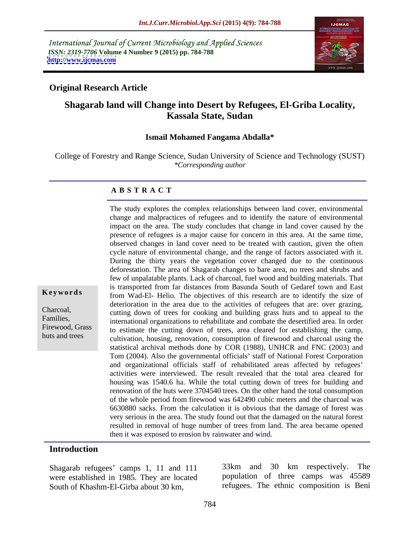International Journal of Current Microbiology and Applied Sciences *ISSN: 2319-7706* **Volume 4 Number 9 (2015) pp. 784-788 <http://www.ijcmas.com>**



## **Original Research Article**

# **Shagarab land will Change into Desert by Refugees, El-Griba Locality, Kassala State, Sudan**

### **Ismail Mohamed Fangama Abdalla\***

College of Forestry and Range Science, Sudan University of Science and Technology (SUST) *\*Corresponding author*

### **A B S T R A C T**

The study explores the complex relationships between land cover, environmental change and malpractices of refugees and to identify the nature of environmental impact on the area. The study concludes that change in land cover caused by the presence of refugees is a major cause for concern in this area. At the same time, observed changes in land cover need to be treated with caution, given the often cycle nature of environmental change, and the range of factors associated with it. During the thirty years the vegetation cover changed due to the continuous deforestation. The area of Shagarab changes to bare area, no trees and shrubs and few of unpalatable plants. Lack of charcoal, fuel wood and building materials. That is transported from far distances from Basunda South of Gedaref town and East from Wad-El- Helio. The objectives of this research are to identify the size of **Ke ywo rds** deterioration in the area due to the activities of refugees that are: over grazing, cutting down of trees for cooking and building grass huts and to appeal to the Charcoal, Families,<br>
international organizations to rehabilitate and combate the desertified area. In order Firewood, Grass to estimate the cutting down of trees, area cleared for establishing the camp, cultivation, housing, renovation, consumption of firewood and charcoal using the statistical archival methods done by COR (1988), UNHCR and FNC (2003) and Tom (2004). Also the governmental officials' staff of National Forest Corporation and organizational officials staff of rehabilitated areas affected by refugees activities were interviewed. The result revealed that the total area cleared for housing was 1540.6 ha. While the total cutting down of trees for building and renovation of the huts were 3704540 trees. On the other hand the total consumption of the whole period from firewood was 642490 cubic meters and the charcoal was 6630880 sacks. From the calculation it is obvious that the damage of forest was very serious in the area. The study found out that the damaged on the natural forest resulted in removal of huge number of trees from land. The area became opened then it was exposed to erosion by rainwater and wind.

### **Introduction**

huts and trees

were established in 1985. They are located South of Khashm-El-Girba about 30 km, refugees. The ethnic composition is Beni

Shagarab refugees' camps 1, 11 and 111 33km and 30 km respectively. The 33km and 30 km respectively. The population of three camps was 45589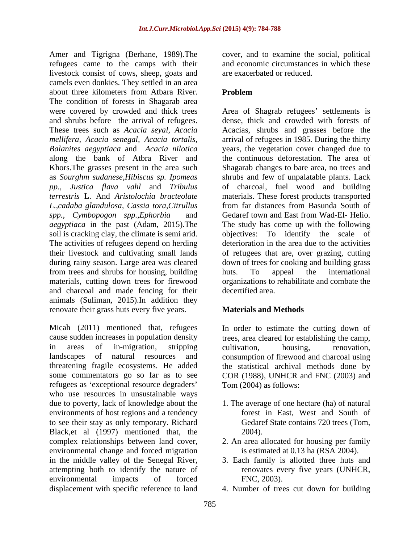Amer and Tigrigna (Berhane, 1989).The cover, and to examine the social, political refugees came to the camps with their livestock consist of cows, sheep, goats and camels even donkies. They settled in an area about three kilometers from Atbara River. Problem The condition of forests in Shagarab area and shrubs before the arrival of refugees. along the bank of Atbra River and *L.,cadaba glandulosa, Cassia tora,Citrullus aegyptiaca* in the past (Adam, 2015).The The activities of refugees depend on herding from trees and shrubs for housing, building materials, cutting down trees for firewood and charcoal and made fencing for their animals (Suliman, 2015).In addition they renovate their grass huts every five years. Materials and Methods

Micah (2011) mentioned that, refugees cause sudden increases in population density trees, area cleared for establishing the camp, in areas of in-migration, stripping landscapes of natural resources and consumption of firewood and charcoal using threatening fragile ecosystems. He added some commentators go so far as to see COR (1988), UNHCR and FNC (2003) and refugees as 'exceptional resource degraders' who use resources in unsustainable ways due to poverty, lack of knowledge about the 1. The average of one hectare (ha) of natural environments of host regions and a tendency to see their stay as only temporary. Richard Black,et al (1997) mentioned that, the 2004). complex relationships between land cover, 2. An area allocated for housing per family environmental change and forced migration in the middle valley of the Senegal River, 3. Each family is allotted three huts and attempting both to identify the nature of environmental impacts of forced FNC, 2003). displacement with specific reference to land

and economic circumstances in which these are exacerbated or reduced.

# **Problem**

were covered by crowded and thick trees Area of Shagrab refugees' settlements is These trees such as *Acacia seyal, Acacia* Acacias, shrubs and grasses before the *mellifera, Acacia senegal, Acacia tortalis,* arrival of refugees in 1985. During the thirty *Balanites aegyptiaca* and *Acacia nilotica* years, the vegetation cover changed due to Khors.The grasses present in the area such Shagarab changes to bare area, no trees and as *Sourghm sudanese,Hibiscus sp. Ipomeas* shrubs and few of unpalatable plants. Lack *pp., Justica flava vahl* and *Tribulus*  of charcoal, fuel wood and building *terrestris* L. And *Aristolochia bracteolate* materials. These forest products transported *spp., Cymbopogon spp.,Ephorbia* and Gedaref town and East from Wad-El- Helio. soil is cracking clay, the climate is semi arid. objectives: To identify the scale of their livestock and cultivating small lands of refugees that are, over grazing, cutting during rainy season. Large area was cleared down of trees for cooking and building grass dense, thick and crowded with forests of the continuous deforestation. The area of from far distances from Basunda South of The study has come up with the following deterioration in the area due to the activities huts. To appeal the international organizations to rehabilitate and combate the decertified area.

# **Materials and Methods**

In order to estimate the cutting down of cultivation, housing, renovation, the statistical archival methods done by Tom (2004) as follows:

- forest in East, West and South of Gedaref State contains 720 trees (Tom, 2004).
- is estimated at 0.13 ha (RSA 2004).
- renovates every five years (UNHCR, FNC, 2003).
- 4. Number of trees cut down for building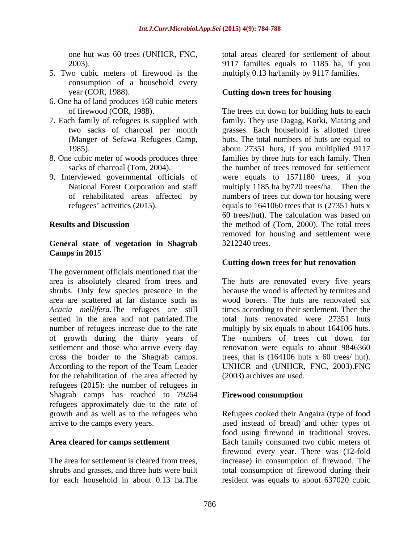- 5. Two cubic meters of firewood is the multiply 0.13 ha/family by 9117 families. consumption of a household every year (COR, 1988). **Cutting down trees for housing**
- 6. One ha of land produces 168 cubic meters
- 
- 
- 

### **General state of vegetation in Shagrab Camps in 2015**

The government officials mentioned that the area is absolutely cleared from trees and The huts are renovated every five years shrubs. Only few species presence in the because the wood is affected by termites and area are scattered at far distance such as wood borers. The huts are renovated six *Acacia mellifera*.The refugees are still times according to their settlement. Then the settled in the area and not patriated.The number of refugees increase due to the rate multiply by six equals to about 164106 huts. of growth during the thirty years of The numbers of trees cut down for settlement and those who arrive every day renovation were equals to about 9846360 cross the border to the Shagrab camps. According to the report of the Team Leader UNHCR and (UNHCR, FNC, 2003).FNC for the rehabilitation of the area affected by refugees (2015): the number of refugees in Shagrab camps has reached to 79264 Firewood consumption refugees approximately due to the rate of growth and as well as to the refugees who Refugees cooked their Angaira (type of food arrive to the camps every years. used instead of bread) and other types of

for each household in about 0.13 ha.The resident was equals to about 637020 cubic

one hut was 60 trees (UNHCR, FNC, total areas cleared for settlement of about 2003). 9117 families equals to 1185 ha, if you

of firewood (COR, 1988). The trees cut down for building huts to each 7. Each family of refugees is supplied with family. They use Dagag, Korki, Matarig and two sacks of charcoal per month grasses. Each household is allotted three (Manger of Sefawa Refugees Camp, huts. The total numbers of huts are equal to 1985). about 27351 huts, if you multiplied 9117 8. One cubic meter of woods produces three families by three huts for each family. Then sacks of charcoal (Tom, 2004). 
the number of trees removed for settlement 9. Interviewed governmental officials of were equals to 1571180 trees, if you National Forest Corporation and staff multiply 1185 ha by720 trees/ha. Then the of rehabilitated areas affected by numbers of trees cut down for housing were refugees' activities (2015). equals to 1641060 trees that is (27351 huts x **Results and Discussion** the method of (Tom, 2000). The total trees 60 trees/hut). The calculation was based on removed for housing and settlement were 3212240 trees.

### **Cutting down trees for hut renovation**

total huts renovated were 27351 huts trees, that is (164106 huts x 60 trees/ hut). (2003) archives are used.

## **Firewood consumption**

**Area cleared for camps settlement** Each family consumed two cubic meters of The area for settlement is cleared from trees, increase) in consumption of firewood. The shrubs and grasses, and three huts were built total consumption of firewood during their food using firewood in traditional stoves. firewood every year. There was (12-fold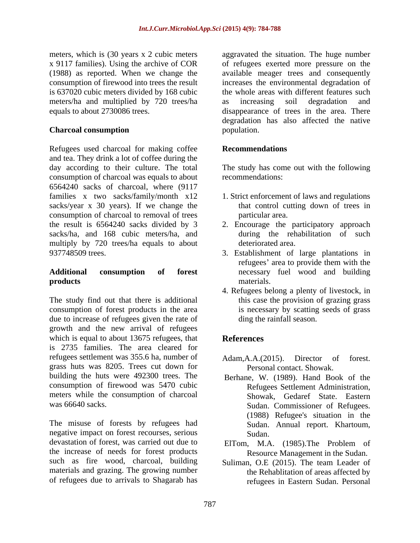meters/ha and multiplied by 720 trees/ha

Refugees used charcoal for making coffee **Recommendations** and tea. They drink a lot of coffee during the day according to their culture. The total The study has come out with the following consumption of charcoal was equals to about 6564240 sacks of charcoal, where (9117 families x two sacks/family/month x12 1. Strict enforcement of laws and regulations sacks/year  $x$  30 years). If we change the consumption of charcoal to removal of trees the result is 6564240 sacks divided by 3 2. Encourage the participatory approach sacks/ha, and 168 cubic meters/ha, and during the rehabilitation of such multiply by 720 trees/ha equals to about 937748509 trees. 3. Establishment of large plantations in

The study find out that there is additional consumption of forest products in the area due to increase of refugees given the rate of growth and the new arrival of refugees which is equal to about 13675 refugees, that **References** is 2735 families. The area cleared for refugees settlement was 355.6 ha, number of Adam, A.A. (2015). Director of forest. grass huts was 8205. Trees cut down for building the huts were 492300 trees. The Berhane, W. (1989). Hand Book of the consumption of firewood was 5470 cubic meters while the consumption of charcoal

The misuse of forests by refugees had negative impact on forest recourses, serious<br>devastation of forest, was carried out due to FIT om MA devastation of forest, was carried out due to ElTom, M.A. (1985).The Problem of the increase of needs for forest products such as fire wood, charcoal, building Suliman, O.E (2015). The team Leader of materials and grazing. The growing number of refugees due to arrivals to Shagarab has

meters, which is (30 years x 2 cubic meters aggravated the situation. The huge number x 9117 families). Using the archive of COR of refugees exerted more pressure on the (1988) as reported. When we change the available meager trees and consequently consumption of firewood into trees the result increases the environmental degradation of is 637020 cubic meters divided by 168 cubic the whole areas with different features such equals to about 2730086 trees. disappearance of trees in the area. There **Charcoal consumption consumption consumption consumption** as increasing soil degradation and degradation has also affected the native population.

## **Recommendations**

recommendations:

- that control cutting down of trees in particular area.
- deteriorated area.
- **Additional consumption of forest** necessary fuel wood and building **products** materials. refugees' area to provide them with the materials.
	- 4. Refugees belong a plenty of livestock, in this case the provision of grazing grass is necessary by scatting seeds of grass ding the rainfall season.

# **References**

- Adam,A.A.(2015). Director of forest. Personal contact. Showak.
- was 66640 sacks. Sudan. Commissioner of Refugees. Refugees Settlement Administration, Showak, Gedaref State. Eastern (1988) Refugee's situation in the Sudan. Annual report. Khartoum, Sudan.
	- Resource Management in the Sudan.
	- the Rehablitation of areas affected by refugees in Eastern Sudan. Personal